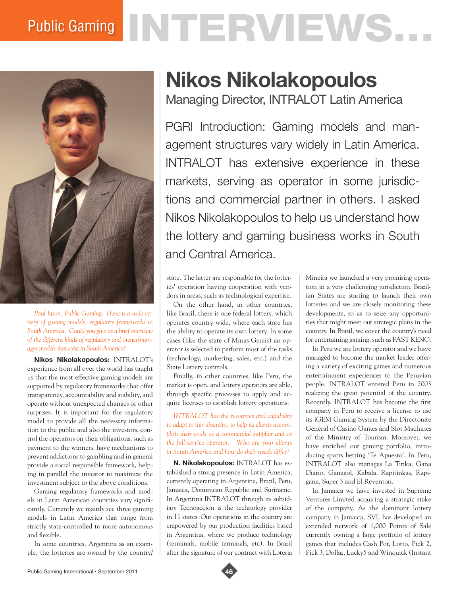## Public Gaming NTERVIEWS.



*Paul Jason, Public Gaming: There is a wide variety of gaming models, regulatory frameworks in South America. Could you give us a brief overview of the different kinds of regulatory and owner/manager models that exist in South America?*

**Nikos Nikolakopoulos:** INTRALOT's experience from all over the world has taught us that the most effective gaming models are supported by regulatory frameworks that offer transparency, accountability and stability, and operate without unexpected changes or other surprises. It is important for the regulatory model to provide all the necessary information to the public and also the investors, control the operators on their obligations, such as payment to the winners, have mechanisms to prevent addictions to gambling and in general provide a social responsible framework, helping in parallel the investor to maximize the investment subject to the above conditions.

Gaming regulatory frameworks and models in Latin American countries vary significantly. Currently we mainly see three gaming models in Latin America that range from strictly state-controlled to more autonomous and flexible.

In some countries, Argentina as an example, the lotteries are owned by the country/

## **Nikos Nikolakopoulos**

Managing Director, INTRALOT Latin America

PGRI Introduction: Gaming models and management structures vary widely in Latin America. INTRALOT has extensive experience in these markets, serving as operator in some jurisdictions and commercial partner in others. I asked Nikos Nikolakopoulos to help us understand how the lottery and gaming business works in South and Central America.

state. The latter are responsible for the lotteries' operation having cooperation with vendors in areas, such as technological expertise.

On the other hand, in other countries, like Brazil, there is one federal lottery, which operates country wide, where each state has the ability to operate its own lottery. In some cases (like the state of Minas Gerais) an operator is selected to perform most of the tasks (technology, marketing, sales, etc.) and the State Lottery controls.

Finally, in other countries, like Peru, the market is open, and lottery operators are able, through specific processes to apply and acquire licenses to establish lottery operations.

*INTRALOT has the resources and capability to adapt to this diversity, to help its clients accomplish their goals as a commercial supplier and as the full-service operator. Who are your clients in South America and how do their needs differ?*

**N. Nikolakopoulos:** INTRALOT has established a strong presence in Latin America, currently operating in Argentina, Brazil, Peru, Jamaica, Dominican Republic and Suriname. In Argentina INTRALOT through its subsidiary Tecnoaccion is the technology provider in 11 states. Our operations in the country are empowered by our production facilities based in Argentina, where we produce technology (terminals, mobile terminals, etc). In Brazil after the signature of our contract with Loteria

Mineira we launched a very promising operation in a very challenging jurisdiction. Brazilian States are starting to launch their own lotteries and we are closely monitoring these developments, so as to seize any opportunities that might meet our strategic plans in the country. In Brazil, we cover the country's need for entertaining gaming, such as FAST KENO.

In Peru we are lottery operator and we have managed to become the market leader offering a variety of exciting games and numerous entertainment experiences to the Peruvian people. INTRALOT entered Peru in 2003 realizing the great potential of the country. Recently, INTRALOT has become the first company in Peru to receive a license to use its iGEM Gaming System by the Directorate General of Casino Games and Slot Machines of the Ministry of Tourism. Moreover, we have enriched our gaming portfolio, introducing sports betting 'Te Apuesto'. In Peru, INTRALOT also manages La Tinka, Gana Diario, Ganagol, Kabala, Rapitinkas, Rapigana, Super 3 and El Reventon.

In Jamaica we have invested in Supreme Ventures Limited acquiring a strategic stake of the company. As the dominant lottery company in Jamaica, SVL has developed an extended network of 1,000 Points of Sale currently owning a large portfolio of lottery games that includes Cash Pot, Lotto, Pick 2, Pick 3, Dollaz, Lucky5 and Winquick (Instant